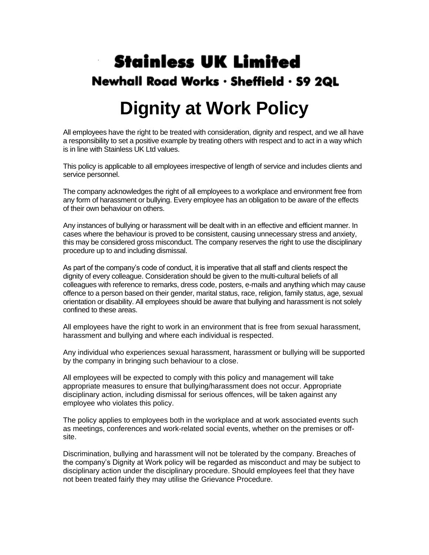# **Stainless UK Limited** Newhall Road Works · Sheffield · S9 2QL

# **Dignity at Work Policy**

All employees have the right to be treated with consideration, dignity and respect, and we all have a responsibility to set a positive example by treating others with respect and to act in a way which is in line with Stainless UK Ltd values.

This policy is applicable to all employees irrespective of length of service and includes clients and service personnel.

The company acknowledges the right of all employees to a workplace and environment free from any form of harassment or bullying. Every employee has an obligation to be aware of the effects of their own behaviour on others.

Any instances of bullying or harassment will be dealt with in an effective and efficient manner. In cases where the behaviour is proved to be consistent, causing unnecessary stress and anxiety, this may be considered gross misconduct. The company reserves the right to use the disciplinary procedure up to and including dismissal.

As part of the company's code of conduct, it is imperative that all staff and clients respect the dignity of every colleague. Consideration should be given to the multi-cultural beliefs of all colleagues with reference to remarks, dress code, posters, e-mails and anything which may cause offence to a person based on their gender, marital status, race, religion, family status, age, sexual orientation or disability. All employees should be aware that bullying and harassment is not solely confined to these areas.

All employees have the right to work in an environment that is free from sexual harassment, harassment and bullying and where each individual is respected.

Any individual who experiences sexual harassment, harassment or bullying will be supported by the company in bringing such behaviour to a close.

All employees will be expected to comply with this policy and management will take appropriate measures to ensure that bullying/harassment does not occur. Appropriate disciplinary action, including dismissal for serious offences, will be taken against any employee who violates this policy.

The policy applies to employees both in the workplace and at work associated events such as meetings, conferences and work-related social events, whether on the premises or offsite.

Discrimination, bullying and harassment will not be tolerated by the company. Breaches of the company's Dignity at Work policy will be regarded as misconduct and may be subject to disciplinary action under the disciplinary procedure. Should employees feel that they have not been treated fairly they may utilise the Grievance Procedure.